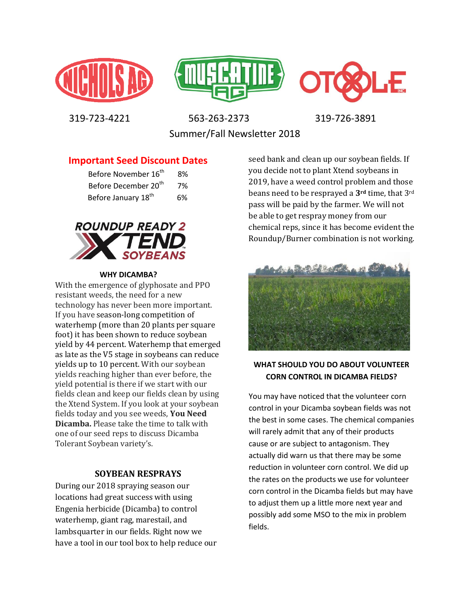





 319-723-4221 563-263-2373 319-726-3891 Summer/Fall Newsletter 2018

**Important Seed Discount Dates** 

| Before November 16 <sup>th</sup> | 8% |
|----------------------------------|----|
| Before December 20 <sup>th</sup> | 7% |
| Before January 18 <sup>th</sup>  | 6% |



### **WHY DICAMBA?**

With the emergence of glyphosate and PPO resistant weeds, the need for a new technology has never been more important. If you have season-long competition of waterhemp (more than 20 plants per square foot) it has been shown to reduce soybean yield by 44 percent. Waterhemp that emerged as late as the V5 stage in soybeans can reduce yields up to 10 percent. With our soybean yields reaching higher than ever before, the yield potential is there if we start with our fields clean and keep our fields clean by using the Xtend System. If you look at your soybean fields today and you see weeds, **You Need Dicamba.** Please take the time to talk with one of our seed reps to discuss Dicamba Tolerant Soybean variety's.

### **SOYBEAN RESPRAYS**

During our 2018 spraying season our locations had great success with using Engenia herbicide (Dicamba) to control waterhemp, giant rag, marestail, and lambsquarter in our fields. Right now we have a tool in our tool box to help reduce our

seed bank and clean up our soybean fields. If you decide not to plant Xtend soybeans in 2019, have a weed control problem and those beans need to be resprayed a **3rd** time, that 3rd pass will be paid by the farmer. We will not be able to get respray money from our chemical reps, since it has become evident the Roundup/Burner combination is not working.



### **WHAT SHOULD YOU DO ABOUT VOLUNTEER CORN CONTROL IN DICAMBA FIELDS?**

You may have noticed that the volunteer corn control in your Dicamba soybean fields was not the best in some cases. The chemical companies will rarely admit that any of their products cause or are subject to antagonism. They actually did warn us that there may be some reduction in volunteer corn control. We did up the rates on the products we use for volunteer corn control in the Dicamba fields but may have to adjust them up a little more next year and possibly add some MSO to the mix in problem fields.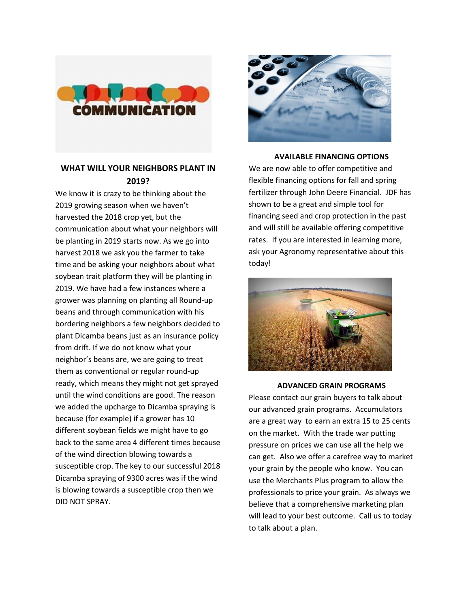

## **WHAT WILL YOUR NEIGHBORS PLANT IN 2019?**

We know it is crazy to be thinking about the 2019 growing season when we haven't harvested the 2018 crop yet, but the communication about what your neighbors will be planting in 2019 starts now. As we go into harvest 2018 we ask you the farmer to take time and be asking your neighbors about what soybean trait platform they will be planting in 2019. We have had a few instances where a grower was planning on planting all Round-up beans and through communication with his bordering neighbors a few neighbors decided to plant Dicamba beans just as an insurance policy from drift. If we do not know what your neighbor's beans are, we are going to treat them as conventional or regular round-up ready, which means they might not get sprayed until the wind conditions are good. The reason we added the upcharge to Dicamba spraying is because (for example) if a grower has 10 different soybean fields we might have to go back to the same area 4 different times because of the wind direction blowing towards a susceptible crop. The key to our successful 2018 Dicamba spraying of 9300 acres was if the wind is blowing towards a susceptible crop then we DID NOT SPRAY.



### **AVAILABLE FINANCING OPTIONS**

We are now able to offer competitive and flexible financing options for fall and spring fertilizer through John Deere Financial. JDF has shown to be a great and simple tool for financing seed and crop protection in the past and will still be available offering competitive rates. If you are interested in learning more, ask your Agronomy representative about this today!



#### **ADVANCED GRAIN PROGRAMS**

Please contact our grain buyers to talk about our advanced grain programs. Accumulators are a great way to earn an extra 15 to 25 cents on the market. With the trade war putting pressure on prices we can use all the help we can get. Also we offer a carefree way to market your grain by the people who know. You can use the Merchants Plus program to allow the professionals to price your grain. As always we believe that a comprehensive marketing plan will lead to your best outcome. Call us to today to talk about a plan.